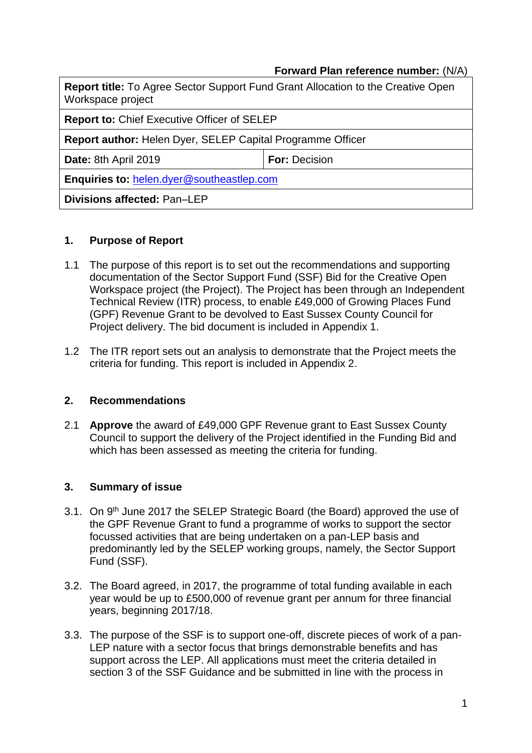## **Forward Plan reference number:** (N/A)

| <b>Report title:</b> To Agree Sector Support Fund Grant Allocation to the Creative Open<br>Workspace project |                      |  |  |  |
|--------------------------------------------------------------------------------------------------------------|----------------------|--|--|--|
| <b>Report to: Chief Executive Officer of SELEP</b>                                                           |                      |  |  |  |
| <b>Report author: Helen Dyer, SELEP Capital Programme Officer</b>                                            |                      |  |  |  |
| Date: 8th April 2019                                                                                         | <b>For: Decision</b> |  |  |  |
| Enquiries to: helen.dyer@southeastlep.com                                                                    |                      |  |  |  |
| <b>Divisions affected: Pan-LEP</b>                                                                           |                      |  |  |  |

### **1. Purpose of Report**

- 1.1 The purpose of this report is to set out the recommendations and supporting documentation of the Sector Support Fund (SSF) Bid for the Creative Open Workspace project (the Project). The Project has been through an Independent Technical Review (ITR) process, to enable £49,000 of Growing Places Fund (GPF) Revenue Grant to be devolved to East Sussex County Council for Project delivery. The bid document is included in Appendix 1.
- 1.2 The ITR report sets out an analysis to demonstrate that the Project meets the criteria for funding. This report is included in Appendix 2.

### **2. Recommendations**

2.1 **Approve** the award of £49,000 GPF Revenue grant to East Sussex County Council to support the delivery of the Project identified in the Funding Bid and which has been assessed as meeting the criteria for funding.

### **3. Summary of issue**

- 3.1. On 9<sup>th</sup> June 2017 the SELEP Strategic Board (the Board) approved the use of the GPF Revenue Grant to fund a programme of works to support the sector focussed activities that are being undertaken on a pan-LEP basis and predominantly led by the SELEP working groups, namely, the Sector Support Fund (SSF).
- 3.2. The Board agreed, in 2017, the programme of total funding available in each year would be up to £500,000 of revenue grant per annum for three financial years, beginning 2017/18.
- 3.3. The purpose of the SSF is to support one-off, discrete pieces of work of a pan-LEP nature with a sector focus that brings demonstrable benefits and has support across the LEP. All applications must meet the criteria detailed in section 3 of the SSF Guidance and be submitted in line with the process in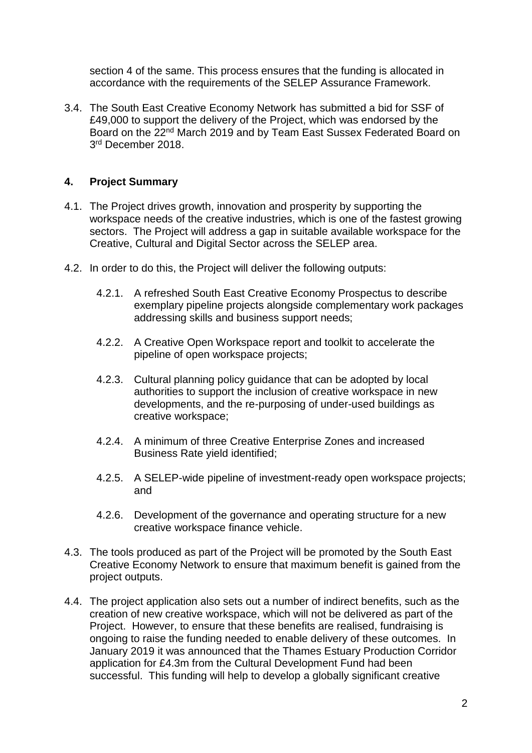section 4 of the same. This process ensures that the funding is allocated in accordance with the requirements of the SELEP Assurance Framework.

3.4. The South East Creative Economy Network has submitted a bid for SSF of £49,000 to support the delivery of the Project, which was endorsed by the Board on the 22nd March 2019 and by Team East Sussex Federated Board on 3 rd December 2018.

# **4. Project Summary**

- 4.1. The Project drives growth, innovation and prosperity by supporting the workspace needs of the creative industries, which is one of the fastest growing sectors. The Project will address a gap in suitable available workspace for the Creative, Cultural and Digital Sector across the SELEP area.
- 4.2. In order to do this, the Project will deliver the following outputs:
	- 4.2.1. A refreshed South East Creative Economy Prospectus to describe exemplary pipeline projects alongside complementary work packages addressing skills and business support needs;
	- 4.2.2. A Creative Open Workspace report and toolkit to accelerate the pipeline of open workspace projects;
	- 4.2.3. Cultural planning policy guidance that can be adopted by local authorities to support the inclusion of creative workspace in new developments, and the re-purposing of under-used buildings as creative workspace;
	- 4.2.4. A minimum of three Creative Enterprise Zones and increased Business Rate yield identified;
	- 4.2.5. A SELEP-wide pipeline of investment-ready open workspace projects; and
	- 4.2.6. Development of the governance and operating structure for a new creative workspace finance vehicle.
- 4.3. The tools produced as part of the Project will be promoted by the South East Creative Economy Network to ensure that maximum benefit is gained from the project outputs.
- 4.4. The project application also sets out a number of indirect benefits, such as the creation of new creative workspace, which will not be delivered as part of the Project. However, to ensure that these benefits are realised, fundraising is ongoing to raise the funding needed to enable delivery of these outcomes. In January 2019 it was announced that the Thames Estuary Production Corridor application for £4.3m from the Cultural Development Fund had been successful. This funding will help to develop a globally significant creative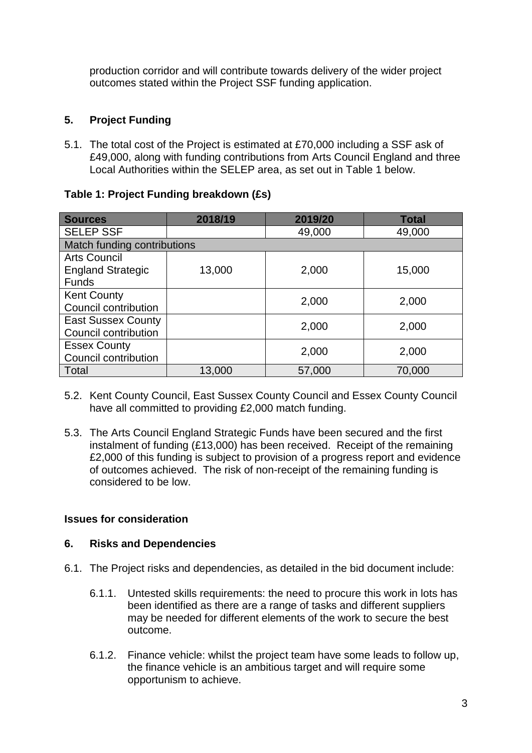production corridor and will contribute towards delivery of the wider project outcomes stated within the Project SSF funding application.

# **5. Project Funding**

5.1. The total cost of the Project is estimated at £70,000 including a SSF ask of £49,000, along with funding contributions from Arts Council England and three Local Authorities within the SELEP area, as set out in Table 1 below.

| Table 1: Project Funding breakdown (£s) |  |  |  |
|-----------------------------------------|--|--|--|
|-----------------------------------------|--|--|--|

| <b>Sources</b>              | 2018/19 | 2019/20 | <b>Total</b> |  |  |
|-----------------------------|---------|---------|--------------|--|--|
| <b>SELEP SSF</b>            |         | 49,000  | 49,000       |  |  |
| Match funding contributions |         |         |              |  |  |
| <b>Arts Council</b>         |         |         |              |  |  |
| <b>England Strategic</b>    | 13,000  | 2,000   | 15,000       |  |  |
| <b>Funds</b>                |         |         |              |  |  |
| <b>Kent County</b>          |         | 2,000   | 2,000        |  |  |
| Council contribution        |         |         |              |  |  |
| <b>East Sussex County</b>   |         | 2,000   | 2,000        |  |  |
| Council contribution        |         |         |              |  |  |
| <b>Essex County</b>         |         | 2,000   | 2,000        |  |  |
| Council contribution        |         |         |              |  |  |
| Total                       | 13,000  | 57,000  | 70,000       |  |  |

- 5.2. Kent County Council, East Sussex County Council and Essex County Council have all committed to providing £2,000 match funding.
- 5.3. The Arts Council England Strategic Funds have been secured and the first instalment of funding (£13,000) has been received. Receipt of the remaining £2,000 of this funding is subject to provision of a progress report and evidence of outcomes achieved. The risk of non-receipt of the remaining funding is considered to be low.

## **Issues for consideration**

### **6. Risks and Dependencies**

- 6.1. The Project risks and dependencies, as detailed in the bid document include:
	- 6.1.1. Untested skills requirements: the need to procure this work in lots has been identified as there are a range of tasks and different suppliers may be needed for different elements of the work to secure the best outcome.
	- 6.1.2. Finance vehicle: whilst the project team have some leads to follow up, the finance vehicle is an ambitious target and will require some opportunism to achieve.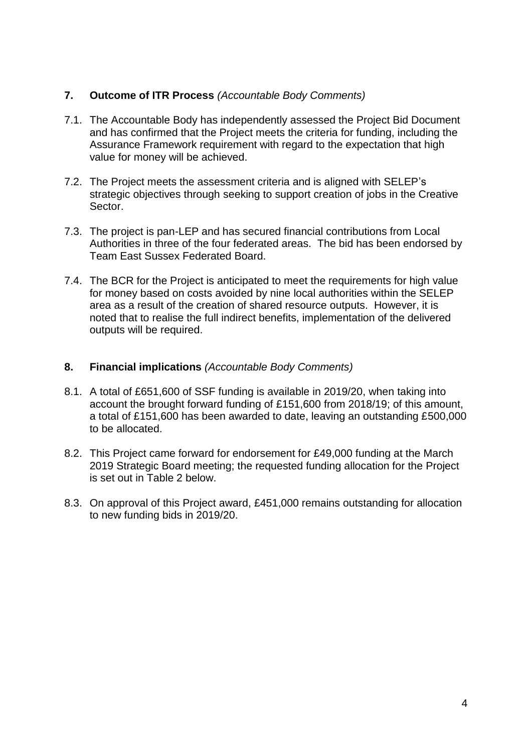## **7. Outcome of ITR Process** *(Accountable Body Comments)*

- 7.1. The Accountable Body has independently assessed the Project Bid Document and has confirmed that the Project meets the criteria for funding, including the Assurance Framework requirement with regard to the expectation that high value for money will be achieved.
- 7.2. The Project meets the assessment criteria and is aligned with SELEP's strategic objectives through seeking to support creation of jobs in the Creative Sector.
- 7.3. The project is pan-LEP and has secured financial contributions from Local Authorities in three of the four federated areas. The bid has been endorsed by Team East Sussex Federated Board.
- 7.4. The BCR for the Project is anticipated to meet the requirements for high value for money based on costs avoided by nine local authorities within the SELEP area as a result of the creation of shared resource outputs. However, it is noted that to realise the full indirect benefits, implementation of the delivered outputs will be required.

### **8. Financial implications** *(Accountable Body Comments)*

- 8.1. A total of £651,600 of SSF funding is available in 2019/20, when taking into account the brought forward funding of £151,600 from 2018/19; of this amount, a total of £151,600 has been awarded to date, leaving an outstanding £500,000 to be allocated.
- 8.2. This Project came forward for endorsement for £49,000 funding at the March 2019 Strategic Board meeting; the requested funding allocation for the Project is set out in Table 2 below.
- 8.3. On approval of this Project award, £451,000 remains outstanding for allocation to new funding bids in 2019/20.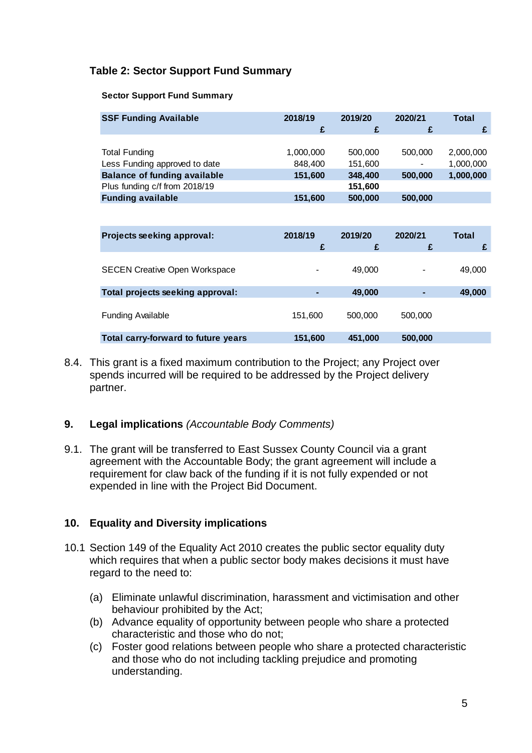# **Table 2: Sector Support Fund Summary**

#### **Sector Support Fund Summary**

| <b>SSF Funding Available</b>        | 2018/19   | 2019/20 | 2020/21        | Total     |
|-------------------------------------|-----------|---------|----------------|-----------|
|                                     | £         | £       |                |           |
|                                     |           |         |                |           |
| <b>Total Funding</b>                | 1,000,000 | 500,000 | 500,000        | 2,000,000 |
| Less Funding approved to date       | 848,400   | 151,600 | $\blacksquare$ | 1,000,000 |
| <b>Balance of funding available</b> | 151,600   | 348,400 | 500,000        | 1,000,000 |
| Plus funding c/f from 2018/19       |           | 151,600 |                |           |
| <b>Funding available</b>            | 151,600   | 500,000 | 500,000        |           |

| Projects seeking approval:           | 2018/19<br>£   | 2019/20<br>£ | 2020/21<br>£ | Total  |
|--------------------------------------|----------------|--------------|--------------|--------|
| <b>SECEN Creative Open Workspace</b> | $\blacksquare$ | 49,000       | ۰            | 49,000 |
| Total projects seeking approval:     |                | 49,000       |              | 49,000 |
| <b>Funding Available</b>             | 151,600        | 500,000      | 500,000      |        |
| Total carry-forward to future years  | 151,600        | 451,000      | 500,000      |        |

8.4. This grant is a fixed maximum contribution to the Project; any Project over spends incurred will be required to be addressed by the Project delivery partner.

### **9. Legal implications** *(Accountable Body Comments)*

9.1. The grant will be transferred to East Sussex County Council via a grant agreement with the Accountable Body; the grant agreement will include a requirement for claw back of the funding if it is not fully expended or not expended in line with the Project Bid Document.

## **10. Equality and Diversity implications**

- 10.1 Section 149 of the Equality Act 2010 creates the public sector equality duty which requires that when a public sector body makes decisions it must have regard to the need to:
	- (a) Eliminate unlawful discrimination, harassment and victimisation and other behaviour prohibited by the Act;
	- (b) Advance equality of opportunity between people who share a protected characteristic and those who do not;
	- (c) Foster good relations between people who share a protected characteristic and those who do not including tackling prejudice and promoting understanding.